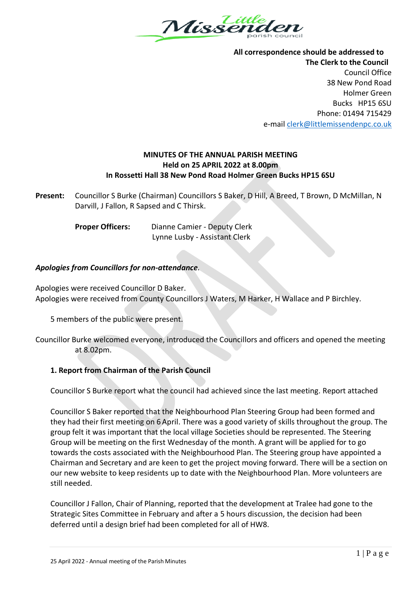

**All correspondence should be addressed to The Clerk to the Council** Council Office 38 New Pond Road Holmer Green Bucks HP15 6SU Phone: 01494 715429 e-mai[l clerk@littlemissendenpc.co.uk](mailto:clerk@littlemissendenpc.co.uk)

# **MINUTES OF THE ANNUAL PARISH MEETING Held on 25 APRIL 2022 at 8.00pm In Rossetti Hall 38 New Pond Road Holmer Green Bucks HP15 6SU**

**Present:** Councillor S Burke (Chairman) Councillors S Baker, D Hill, A Breed, T Brown, D McMillan, N Darvill, J Fallon, R Sapsed and C Thirsk.

**Proper Officers:** Dianne Camier - Deputy Clerk Lynne Lusby - Assistant Clerk

### *Apologies from Councillors for non-attendance.*

Apologies were received Councillor D Baker. Apologies were received from County Councillors J Waters, M Harker, H Wallace and P Birchley.

5 members of the public were present.

# **1. Report from Chairman of the Parish Council**

Councillor S Burke report what the council had achieved since the last meeting. Report attached

Councillor S Baker reported that the Neighbourhood Plan Steering Group had been formed and they had their first meeting on 6 April. There was a good variety of skills throughout the group. The group felt it was important that the local village Societies should be represented. The Steering Group will be meeting on the first Wednesday of the month. A grant will be applied for to go towards the costs associated with the Neighbourhood Plan. The Steering group have appointed a Chairman and Secretary and are keen to get the project moving forward. There will be a section on our new website to keep residents up to date with the Neighbourhood Plan. More volunteers are still needed.

Councillor J Fallon, Chair of Planning, reported that the development at Tralee had gone to the Strategic Sites Committee in February and after a 5 hours discussion, the decision had been deferred until a design brief had been completed for all of HW8.

Councillor Burke welcomed everyone, introduced the Councillors and officers and opened the meeting at 8.02pm.